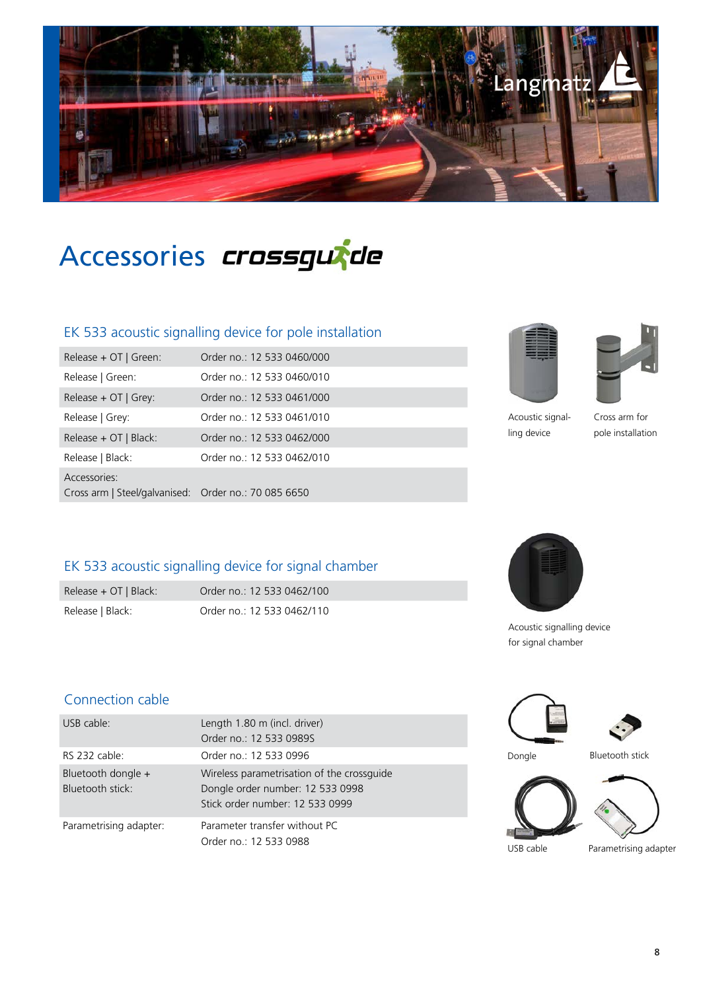

Accessories *crossgurde* 

### EK 533 acoustic signalling device for pole installation

| Release + OT   Green:                                                | Order no.: 12 533 0460/000 |
|----------------------------------------------------------------------|----------------------------|
| Release   Green:                                                     | Order no.: 12 533 0460/010 |
| Release $+$ OT   Grey:                                               | Order no.: 12 533 0461/000 |
| Release   Grey:                                                      | Order no.: 12 533 0461/010 |
| Release + OT   Black:                                                | Order no.: 12 533 0462/000 |
| Release   Black:                                                     | Order no.: 12 533 0462/010 |
| Accessories:<br>Cross arm   Steel/galvanised: Order no.: 70 085 6650 |                            |





Acoustic signalling device

Cross arm for pole installation

## EK 533 acoustic signalling device for signal chamber

Release + OT | Black: Order no.: 12 533 0462/100 Release | Black: Order no.: 12 533 0462/110



Acoustic signalling device for signal chamber

#### Connection cable

| USB cable:                             | Length 1.80 m (incl. driver)                                                                                      |           |                       |
|----------------------------------------|-------------------------------------------------------------------------------------------------------------------|-----------|-----------------------|
|                                        | Order no.: 12 533 09895                                                                                           |           |                       |
| RS 232 cable:                          | Order no.: 12 533 0996                                                                                            | Dongle    | Bluetooth stick       |
| Bluetooth dongle +<br>Bluetooth stick: | Wireless parametrisation of the crossquide<br>Dongle order number: 12 533 0998<br>Stick order number: 12 533 0999 |           |                       |
| Parametrising adapter:                 | Parameter transfer without PC<br>Order no.: 12 533 0988                                                           | USB cable | Parametrising adapter |